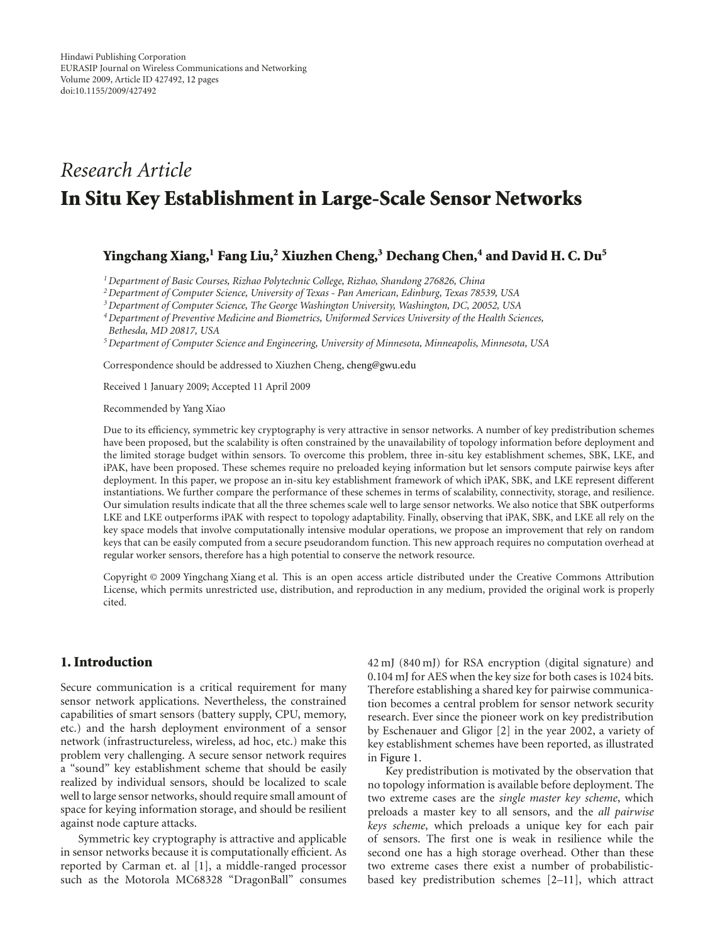# *Research Article* **In Situ Key Establishment in Large-Scale Sensor Networks**

## **Yingchang Xiang,1 Fang Liu,2 Xiuzhen Cheng,3 Dechang Chen,4 and David H. C. Du5**

*1Department of Basic Courses, Rizhao Polytechnic College, Rizhao, Shandong 276826, China*

*2Department of Computer Science, University of Texas - Pan American, Edinburg, Texas 78539, USA*

*3Department of Computer Science, The George Washington University, Washington, DC, 20052, USA*

*4Department of Preventive Medicine and Biometrics, Uniformed Services University of the Health Sciences,*

*Bethesda, MD 20817, USA*

*5Department of Computer Science and Engineering, University of Minnesota, Minneapolis, Minnesota, USA*

Correspondence should be addressed to Xiuzhen Cheng, cheng@gwu.edu

Received 1 January 2009; Accepted 11 April 2009

Recommended by Yang Xiao

Due to its efficiency, symmetric key cryptography is very attractive in sensor networks. A number of key predistribution schemes have been proposed, but the scalability is often constrained by the unavailability of topology information before deployment and the limited storage budget within sensors. To overcome this problem, three in-situ key establishment schemes, SBK, LKE, and iPAK, have been proposed. These schemes require no preloaded keying information but let sensors compute pairwise keys after deployment. In this paper, we propose an in-situ key establishment framework of which iPAK, SBK, and LKE represent different instantiations. We further compare the performance of these schemes in terms of scalability, connectivity, storage, and resilience. Our simulation results indicate that all the three schemes scale well to large sensor networks. We also notice that SBK outperforms LKE and LKE outperforms iPAK with respect to topology adaptability. Finally, observing that iPAK, SBK, and LKE all rely on the key space models that involve computationally intensive modular operations, we propose an improvement that rely on random keys that can be easily computed from a secure pseudorandom function. This new approach requires no computation overhead at regular worker sensors, therefore has a high potential to conserve the network resource.

Copyright © 2009 Yingchang Xiang et al. This is an open access article distributed under the Creative Commons Attribution License, which permits unrestricted use, distribution, and reproduction in any medium, provided the original work is properly cited.

## **1. Introduction**

Secure communication is a critical requirement for many sensor network applications. Nevertheless, the constrained capabilities of smart sensors (battery supply, CPU, memory, etc.) and the harsh deployment environment of a sensor network (infrastructureless, wireless, ad hoc, etc.) make this problem very challenging. A secure sensor network requires a "sound" key establishment scheme that should be easily realized by individual sensors, should be localized to scale well to large sensor networks, should require small amount of space for keying information storage, and should be resilient against node capture attacks.

Symmetric key cryptography is attractive and applicable in sensor networks because it is computationally efficient. As reported by Carman et. al [1], a middle-ranged processor such as the Motorola MC68328 "DragonBall" consumes

42 mJ (840 mJ) for RSA encryption (digital signature) and 0.104 mJ for AES when the key size for both cases is 1024 bits. Therefore establishing a shared key for pairwise communication becomes a central problem for sensor network security research. Ever since the pioneer work on key predistribution by Eschenauer and Gligor [2] in the year 2002, a variety of key establishment schemes have been reported, as illustrated in Figure 1.

Key predistribution is motivated by the observation that no topology information is available before deployment. The two extreme cases are the *single master key scheme*, which preloads a master key to all sensors, and the *all pairwise keys scheme*, which preloads a unique key for each pair of sensors. The first one is weak in resilience while the second one has a high storage overhead. Other than these two extreme cases there exist a number of probabilisticbased key predistribution schemes [2–11], which attract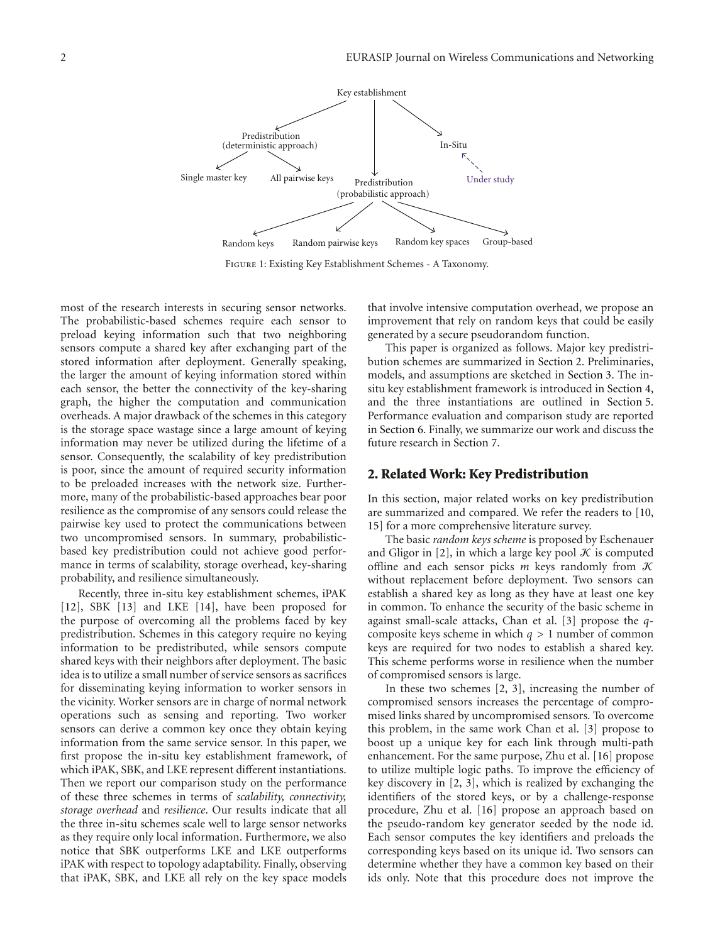

Figure 1: Existing Key Establishment Schemes - A Taxonomy.

most of the research interests in securing sensor networks. The probabilistic-based schemes require each sensor to preload keying information such that two neighboring sensors compute a shared key after exchanging part of the stored information after deployment. Generally speaking, the larger the amount of keying information stored within each sensor, the better the connectivity of the key-sharing graph, the higher the computation and communication overheads. A major drawback of the schemes in this category is the storage space wastage since a large amount of keying information may never be utilized during the lifetime of a sensor. Consequently, the scalability of key predistribution is poor, since the amount of required security information to be preloaded increases with the network size. Furthermore, many of the probabilistic-based approaches bear poor resilience as the compromise of any sensors could release the pairwise key used to protect the communications between two uncompromised sensors. In summary, probabilisticbased key predistribution could not achieve good performance in terms of scalability, storage overhead, key-sharing probability, and resilience simultaneously.

Recently, three in-situ key establishment schemes, iPAK [12], SBK [13] and LKE [14], have been proposed for the purpose of overcoming all the problems faced by key predistribution. Schemes in this category require no keying information to be predistributed, while sensors compute shared keys with their neighbors after deployment. The basic idea is to utilize a small number of service sensors as sacrifices for disseminating keying information to worker sensors in the vicinity. Worker sensors are in charge of normal network operations such as sensing and reporting. Two worker sensors can derive a common key once they obtain keying information from the same service sensor. In this paper, we first propose the in-situ key establishment framework, of which iPAK, SBK, and LKE represent different instantiations. Then we report our comparison study on the performance of these three schemes in terms of *scalability, connectivity, storage overhead* and *resilience*. Our results indicate that all the three in-situ schemes scale well to large sensor networks as they require only local information. Furthermore, we also notice that SBK outperforms LKE and LKE outperforms iPAK with respect to topology adaptability. Finally, observing that iPAK, SBK, and LKE all rely on the key space models

that involve intensive computation overhead, we propose an improvement that rely on random keys that could be easily generated by a secure pseudorandom function.

This paper is organized as follows. Major key predistribution schemes are summarized in Section 2. Preliminaries, models, and assumptions are sketched in Section 3. The insitu key establishment framework is introduced in Section 4, and the three instantiations are outlined in Section 5. Performance evaluation and comparison study are reported in Section 6. Finally, we summarize our work and discuss the future research in Section 7.

#### **2. Related Work: Key Predistribution**

In this section, major related works on key predistribution are summarized and compared. We refer the readers to [10, 15] for a more comprehensive literature survey.

The basic *random keys scheme* is proposed by Eschenauer and Gligor in [2], in which a large key pool  $K$  is computed offline and each sensor picks  $m$  keys randomly from  $K$ without replacement before deployment. Two sensors can establish a shared key as long as they have at least one key in common. To enhance the security of the basic scheme in against small-scale attacks, Chan et al. [3] propose the *q*composite keys scheme in which *q >* 1 number of common keys are required for two nodes to establish a shared key. This scheme performs worse in resilience when the number of compromised sensors is large.

In these two schemes [2, 3], increasing the number of compromised sensors increases the percentage of compromised links shared by uncompromised sensors. To overcome this problem, in the same work Chan et al. [3] propose to boost up a unique key for each link through multi-path enhancement. For the same purpose, Zhu et al. [16] propose to utilize multiple logic paths. To improve the efficiency of key discovery in [2, 3], which is realized by exchanging the identifiers of the stored keys, or by a challenge-response procedure, Zhu et al. [16] propose an approach based on the pseudo-random key generator seeded by the node id. Each sensor computes the key identifiers and preloads the corresponding keys based on its unique id. Two sensors can determine whether they have a common key based on their ids only. Note that this procedure does not improve the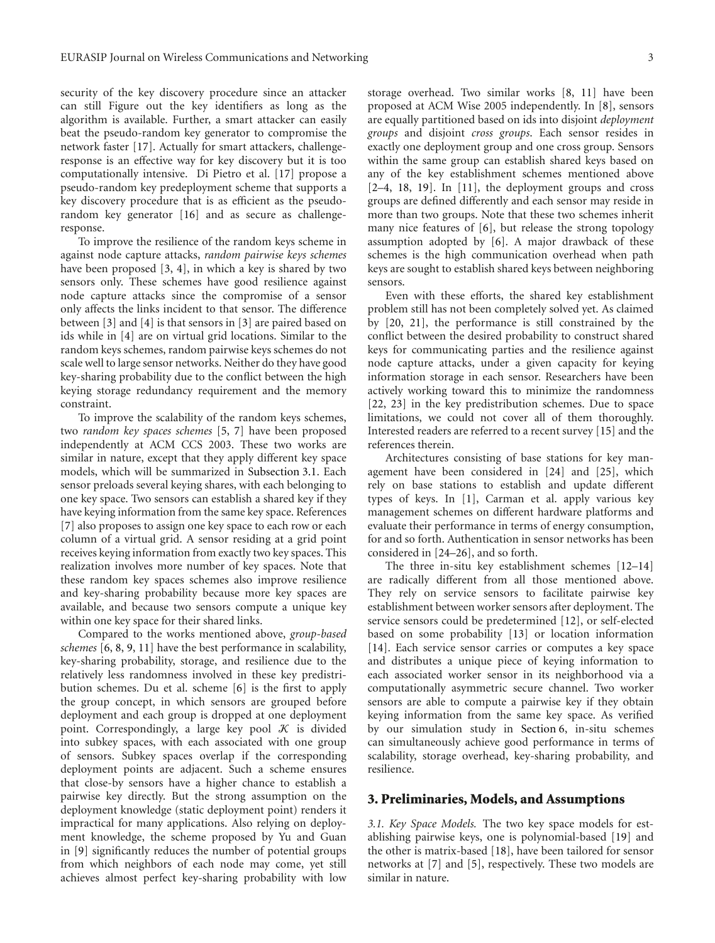security of the key discovery procedure since an attacker can still Figure out the key identifiers as long as the algorithm is available. Further, a smart attacker can easily beat the pseudo-random key generator to compromise the network faster [17]. Actually for smart attackers, challengeresponse is an effective way for key discovery but it is too computationally intensive. Di Pietro et al. [17] propose a pseudo-random key predeployment scheme that supports a key discovery procedure that is as efficient as the pseudorandom key generator [16] and as secure as challengeresponse.

To improve the resilience of the random keys scheme in against node capture attacks, *random pairwise keys schemes* have been proposed [3, 4], in which a key is shared by two sensors only. These schemes have good resilience against node capture attacks since the compromise of a sensor only affects the links incident to that sensor. The difference between [3] and [4] is that sensors in [3] are paired based on ids while in [4] are on virtual grid locations. Similar to the random keys schemes, random pairwise keys schemes do not scale well to large sensor networks. Neither do they have good key-sharing probability due to the conflict between the high keying storage redundancy requirement and the memory constraint.

To improve the scalability of the random keys schemes, two *random key spaces schemes* [5, 7] have been proposed independently at ACM CCS 2003. These two works are similar in nature, except that they apply different key space models, which will be summarized in Subsection 3.1. Each sensor preloads several keying shares, with each belonging to one key space. Two sensors can establish a shared key if they have keying information from the same key space. References [7] also proposes to assign one key space to each row or each column of a virtual grid. A sensor residing at a grid point receives keying information from exactly two key spaces. This realization involves more number of key spaces. Note that these random key spaces schemes also improve resilience and key-sharing probability because more key spaces are available, and because two sensors compute a unique key within one key space for their shared links.

Compared to the works mentioned above, *group-based schemes* [6, 8, 9, 11] have the best performance in scalability, key-sharing probability, storage, and resilience due to the relatively less randomness involved in these key predistribution schemes. Du et al. scheme [6] is the first to apply the group concept, in which sensors are grouped before deployment and each group is dropped at one deployment point. Correspondingly, a large key pool  $K$  is divided into subkey spaces, with each associated with one group of sensors. Subkey spaces overlap if the corresponding deployment points are adjacent. Such a scheme ensures that close-by sensors have a higher chance to establish a pairwise key directly. But the strong assumption on the deployment knowledge (static deployment point) renders it impractical for many applications. Also relying on deployment knowledge, the scheme proposed by Yu and Guan in [9] significantly reduces the number of potential groups from which neighbors of each node may come, yet still achieves almost perfect key-sharing probability with low

storage overhead. Two similar works [8, 11] have been proposed at ACM Wise 2005 independently. In [8], sensors are equally partitioned based on ids into disjoint *deployment groups* and disjoint *cross groups*. Each sensor resides in exactly one deployment group and one cross group. Sensors within the same group can establish shared keys based on any of the key establishment schemes mentioned above  $[2-4, 18, 19]$ . In  $[11]$ , the deployment groups and cross groups are defined differently and each sensor may reside in more than two groups. Note that these two schemes inherit many nice features of [6], but release the strong topology assumption adopted by [6]. A major drawback of these schemes is the high communication overhead when path keys are sought to establish shared keys between neighboring sensors.

Even with these efforts, the shared key establishment problem still has not been completely solved yet. As claimed by [20, 21], the performance is still constrained by the conflict between the desired probability to construct shared keys for communicating parties and the resilience against node capture attacks, under a given capacity for keying information storage in each sensor. Researchers have been actively working toward this to minimize the randomness [22, 23] in the key predistribution schemes. Due to space limitations, we could not cover all of them thoroughly. Interested readers are referred to a recent survey [15] and the references therein.

Architectures consisting of base stations for key management have been considered in [24] and [25], which rely on base stations to establish and update different types of keys. In [1], Carman et al. apply various key management schemes on different hardware platforms and evaluate their performance in terms of energy consumption, for and so forth. Authentication in sensor networks has been considered in [24–26], and so forth.

The three in-situ key establishment schemes [12–14] are radically different from all those mentioned above. They rely on service sensors to facilitate pairwise key establishment between worker sensors after deployment. The service sensors could be predetermined [12], or self-elected based on some probability [13] or location information [14]. Each service sensor carries or computes a key space and distributes a unique piece of keying information to each associated worker sensor in its neighborhood via a computationally asymmetric secure channel. Two worker sensors are able to compute a pairwise key if they obtain keying information from the same key space. As verified by our simulation study in Section 6, in-situ schemes can simultaneously achieve good performance in terms of scalability, storage overhead, key-sharing probability, and resilience.

#### **3. Preliminaries, Models, and Assumptions**

*3.1. Key Space Models.* The two key space models for establishing pairwise keys, one is polynomial-based [19] and the other is matrix-based [18], have been tailored for sensor networks at [7] and [5], respectively. These two models are similar in nature.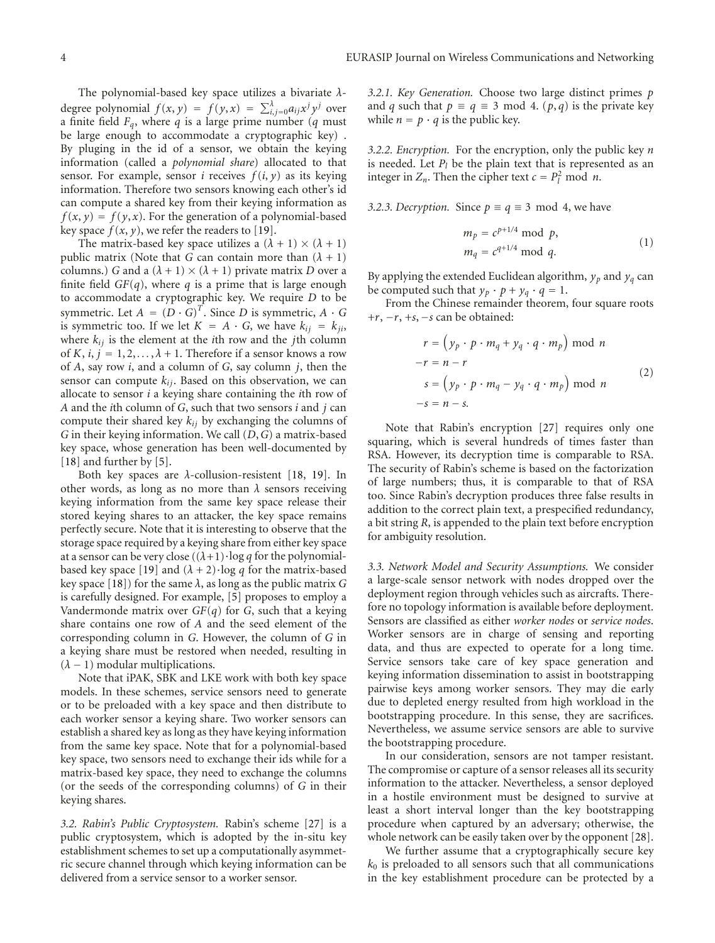The polynomial-based key space utilizes a bivariate *λ*degree polynomial  $f(x, y) = f(y, x) = \sum_{i,j=0}^{n} a_{ij}x^{j}y^{j}$  over a finite field *Fq*, where *q* is a large prime number (*q* must be large enough to accommodate a cryptographic key) . By pluging in the id of a sensor, we obtain the keying information (called a *polynomial share*) allocated to that sensor. For example, sensor *i* receives  $f(i, y)$  as its keying information. Therefore two sensors knowing each other's id can compute a shared key from their keying information as  $f(x, y) = f(y, x)$ . For the generation of a polynomial-based key space  $f(x, y)$ , we refer the readers to [19].

The matrix-based key space utilizes a  $(\lambda + 1) \times (\lambda + 1)$ public matrix (Note that *G* can contain more than  $(\lambda + 1)$ ) columns.) *G* and a  $(\lambda + 1) \times (\lambda + 1)$  private matrix *D* over a finite field  $GF(q)$ , where q is a prime that is large enough to accommodate a cryptographic key. We require *D* to be symmetric. Let  $A = (D \cdot G)^T$ . Since *D* is symmetric,  $A \cdot G$ is symmetric too. If we let  $K = A \cdot G$ , we have  $k_{ij} = k_{ji}$ , where *kij* is the element at the *i*th row and the *j*th column of *K*,  $i, j = 1, 2, \ldots, \lambda + 1$ . Therefore if a sensor knows a row of *A*, say row *i*, and a column of *G*, say column *j*, then the sensor can compute *kij*. Based on this observation, we can allocate to sensor *i* a keying share containing the *i*th row of *A* and the *i*th column of *G*, such that two sensors *i* and *j* can compute their shared key  $k_{ij}$  by exchanging the columns of *G* in their keying information. We call (*D*,*G*) a matrix-based key space, whose generation has been well-documented by [18] and further by [5].

Both key spaces are *λ*-collusion-resistent [18, 19]. In other words, as long as no more than  $\lambda$  sensors receiving keying information from the same key space release their stored keying shares to an attacker, the key space remains perfectly secure. Note that it is interesting to observe that the storage space required by a keying share from either key space at a sensor can be very close  $((\lambda+1)\cdot \log q$  for the polynomialbased key space [19] and  $(\lambda + 2)$ ·log *q* for the matrix-based key space [18]) for the same  $λ$ , as long as the public matrix *G* is carefully designed. For example, [5] proposes to employ a Vandermonde matrix over *GF*(*q*) for *G*, such that a keying share contains one row of *A* and the seed element of the corresponding column in *G*. However, the column of *G* in a keying share must be restored when needed, resulting in  $(\lambda - 1)$  modular multiplications.

Note that iPAK, SBK and LKE work with both key space models. In these schemes, service sensors need to generate or to be preloaded with a key space and then distribute to each worker sensor a keying share. Two worker sensors can establish a shared key as long as they have keying information from the same key space. Note that for a polynomial-based key space, two sensors need to exchange their ids while for a matrix-based key space, they need to exchange the columns (or the seeds of the corresponding columns) of *G* in their keying shares.

*3.2. Rabin's Public Cryptosystem.* Rabin's scheme [27] is a public cryptosystem, which is adopted by the in-situ key establishment schemes to set up a computationally asymmetric secure channel through which keying information can be delivered from a service sensor to a worker sensor.

*3.2.1. Key Generation.* Choose two large distinct primes *p* and *q* such that  $p \equiv q \equiv 3 \mod 4$ . (*p*, *q*) is the private key while  $n = p \cdot q$  is the public key.

*3.2.2. Encryption.* For the encryption, only the public key *n* is needed. Let  $P_l$  be the plain text that is represented as an integer in  $Z_n$ . Then the cipher text  $c = P_l^2$  mod *n*.

*3.2.3. Decryption.* Since  $p \equiv q \equiv 3 \mod 4$ , we have

$$
m_p = c^{p+1/4} \mod p,
$$
  
\n
$$
m_q = c^{q+1/4} \mod q.
$$
\n(1)

By applying the extended Euclidean algorithm,  $y_p$  and  $y_q$  can be computed such that  $y_p \cdot p + y_q \cdot q = 1$ .

From the Chinese remainder theorem, four square roots +*r*, −*r*, +*s*, −*s* can be obtained:

$$
r = (y_p \cdot p \cdot m_q + y_q \cdot q \cdot m_p) \mod n
$$
  
-r = n - r  

$$
s = (y_p \cdot p \cdot m_q - y_q \cdot q \cdot m_p) \mod n
$$
  
-s = n - s. (2)

Note that Rabin's encryption [27] requires only one squaring, which is several hundreds of times faster than RSA. However, its decryption time is comparable to RSA. The security of Rabin's scheme is based on the factorization of large numbers; thus, it is comparable to that of RSA too. Since Rabin's decryption produces three false results in addition to the correct plain text, a prespecified redundancy, a bit string *R*, is appended to the plain text before encryption for ambiguity resolution.

*3.3. Network Model and Security Assumptions.* We consider a large-scale sensor network with nodes dropped over the deployment region through vehicles such as aircrafts. Therefore no topology information is available before deployment. Sensors are classified as either *worker nodes* or *service nodes*. Worker sensors are in charge of sensing and reporting data, and thus are expected to operate for a long time. Service sensors take care of key space generation and keying information dissemination to assist in bootstrapping pairwise keys among worker sensors. They may die early due to depleted energy resulted from high workload in the bootstrapping procedure. In this sense, they are sacrifices. Nevertheless, we assume service sensors are able to survive the bootstrapping procedure.

In our consideration, sensors are not tamper resistant. The compromise or capture of a sensor releases all its security information to the attacker. Nevertheless, a sensor deployed in a hostile environment must be designed to survive at least a short interval longer than the key bootstrapping procedure when captured by an adversary; otherwise, the whole network can be easily taken over by the opponent [28].

We further assume that a cryptographically secure key  $k_0$  is preloaded to all sensors such that all communications in the key establishment procedure can be protected by a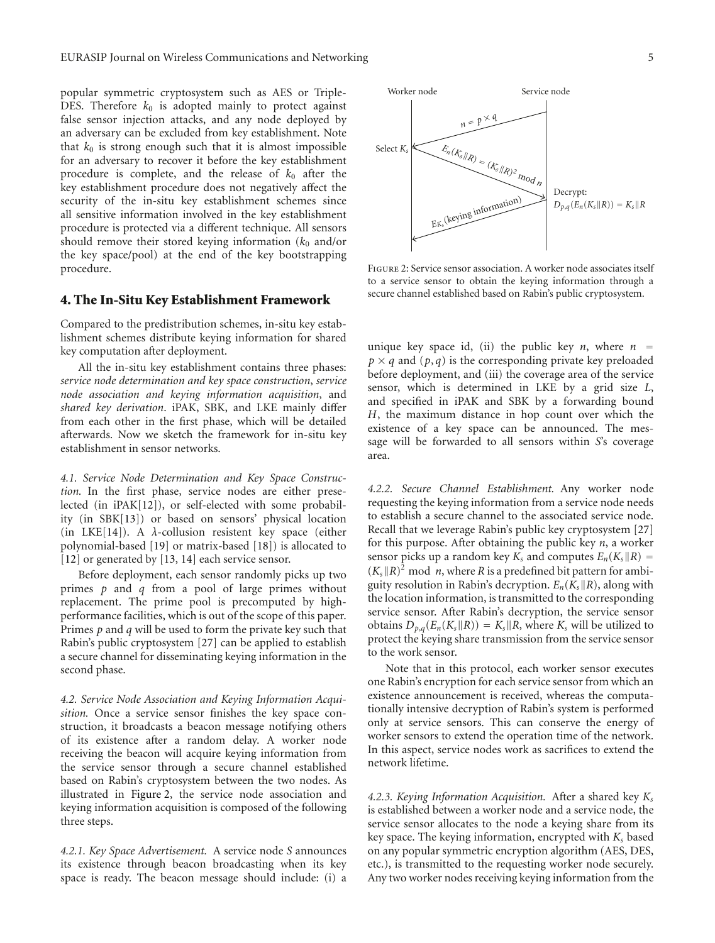popular symmetric cryptosystem such as AES or Triple-DES. Therefore  $k_0$  is adopted mainly to protect against false sensor injection attacks, and any node deployed by an adversary can be excluded from key establishment. Note that  $k_0$  is strong enough such that it is almost impossible for an adversary to recover it before the key establishment procedure is complete, and the release of *k*<sup>0</sup> after the key establishment procedure does not negatively affect the security of the in-situ key establishment schemes since all sensitive information involved in the key establishment procedure is protected via a different technique. All sensors should remove their stored keying information  $(k_0 \text{ and/or})$ the key space/pool) at the end of the key bootstrapping procedure.

#### **4. The In-Situ Key Establishment Framework**

Compared to the predistribution schemes, in-situ key establishment schemes distribute keying information for shared key computation after deployment.

All the in-situ key establishment contains three phases: *service node determination and key space construction*, *service node association and keying information acquisition*, and *shared key derivation*. iPAK, SBK, and LKE mainly differ from each other in the first phase, which will be detailed afterwards. Now we sketch the framework for in-situ key establishment in sensor networks.

*4.1. Service Node Determination and Key Space Construction.* In the first phase, service nodes are either preselected (in iPAK[12]), or self-elected with some probability (in SBK[13]) or based on sensors' physical location (in LKE[14]). A *λ*-collusion resistent key space (either polynomial-based [19] or matrix-based [18]) is allocated to [12] or generated by [13, 14] each service sensor.

Before deployment, each sensor randomly picks up two primes *p* and *q* from a pool of large primes without replacement. The prime pool is precomputed by highperformance facilities, which is out of the scope of this paper. Primes *p* and *q* will be used to form the private key such that Rabin's public cryptosystem [27] can be applied to establish a secure channel for disseminating keying information in the second phase.

*4.2. Service Node Association and Keying Information Acquisition.* Once a service sensor finishes the key space construction, it broadcasts a beacon message notifying others of its existence after a random delay. A worker node receiving the beacon will acquire keying information from the service sensor through a secure channel established based on Rabin's cryptosystem between the two nodes. As illustrated in Figure 2, the service node association and keying information acquisition is composed of the following three steps.

*4.2.1. Key Space Advertisement.* A service node *S* announces its existence through beacon broadcasting when its key space is ready. The beacon message should include: (i) a



Figure 2: Service sensor association. A worker node associates itself to a service sensor to obtain the keying information through a secure channel established based on Rabin's public cryptosystem.

unique key space id, (ii) the public key  $n$ , where  $n =$  $p \times q$  and  $(p, q)$  is the corresponding private key preloaded before deployment, and (iii) the coverage area of the service sensor, which is determined in LKE by a grid size *L*, and specified in iPAK and SBK by a forwarding bound *H*, the maximum distance in hop count over which the existence of a key space can be announced. The message will be forwarded to all sensors within *S*'s coverage area.

*4.2.2. Secure Channel Establishment.* Any worker node requesting the keying information from a service node needs to establish a secure channel to the associated service node. Recall that we leverage Rabin's public key cryptosystem [27] for this purpose. After obtaining the public key *n*, a worker sensor picks up a random key  $K_s$  and computes  $E_n(K_s||R)$  =  $(K_s|R)^2$  mod *n*, where *R* is a predefined bit pattern for ambiguity resolution in Rabin's decryption.  $E_n(K_s||R)$ , along with the location information, is transmitted to the corresponding service sensor. After Rabin's decryption, the service sensor obtains  $D_{p,q}(E_n(K_s||R)) = K_s||R$ , where  $K_s$  will be utilized to protect the keying share transmission from the service sensor to the work sensor.

Note that in this protocol, each worker sensor executes one Rabin's encryption for each service sensor from which an existence announcement is received, whereas the computationally intensive decryption of Rabin's system is performed only at service sensors. This can conserve the energy of worker sensors to extend the operation time of the network. In this aspect, service nodes work as sacrifices to extend the network lifetime.

*4.2.3. Keying Information Acquisition.* After a shared key *Ks* is established between a worker node and a service node, the service sensor allocates to the node a keying share from its key space. The keying information, encrypted with *Ks* based on any popular symmetric encryption algorithm (AES, DES, etc.), is transmitted to the requesting worker node securely. Any two worker nodes receiving keying information from the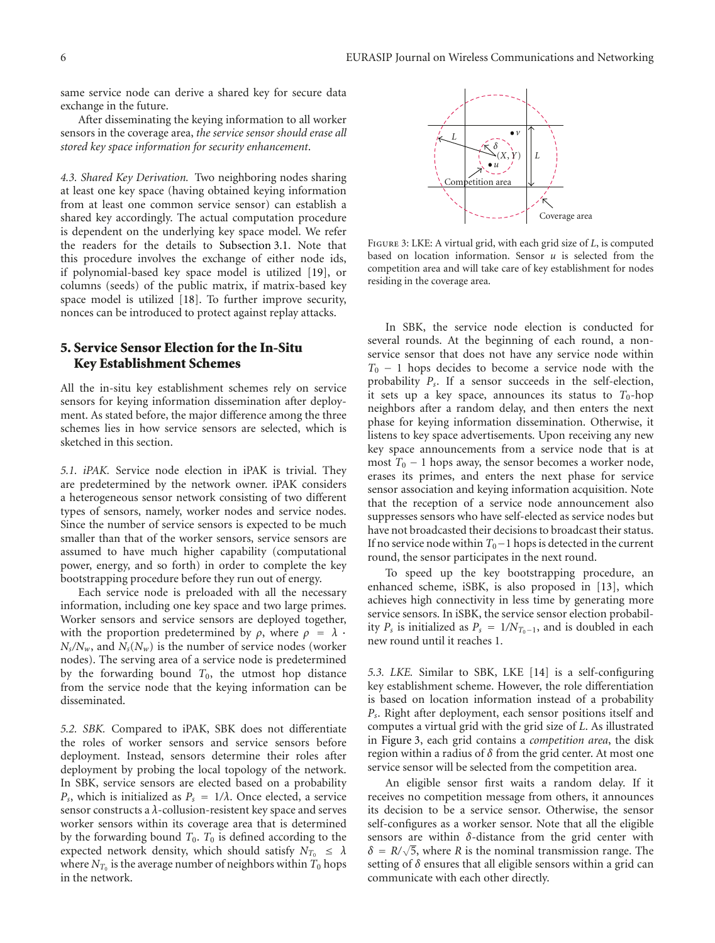same service node can derive a shared key for secure data exchange in the future.

After disseminating the keying information to all worker sensors in the coverage area, *the service sensor should erase all stored key space information for security enhancement*.

*4.3. Shared Key Derivation.* Two neighboring nodes sharing at least one key space (having obtained keying information from at least one common service sensor) can establish a shared key accordingly. The actual computation procedure is dependent on the underlying key space model. We refer the readers for the details to Subsection 3.1. Note that this procedure involves the exchange of either node ids, if polynomial-based key space model is utilized [19], or columns (seeds) of the public matrix, if matrix-based key space model is utilized [18]. To further improve security, nonces can be introduced to protect against replay attacks.

## **5. Service Sensor Election for the In-Situ Key Establishment Schemes**

All the in-situ key establishment schemes rely on service sensors for keying information dissemination after deployment. As stated before, the major difference among the three schemes lies in how service sensors are selected, which is sketched in this section.

*5.1. iPAK.* Service node election in iPAK is trivial. They are predetermined by the network owner. iPAK considers a heterogeneous sensor network consisting of two different types of sensors, namely, worker nodes and service nodes. Since the number of service sensors is expected to be much smaller than that of the worker sensors, service sensors are assumed to have much higher capability (computational power, energy, and so forth) in order to complete the key bootstrapping procedure before they run out of energy.

Each service node is preloaded with all the necessary information, including one key space and two large primes. Worker sensors and service sensors are deployed together, with the proportion predetermined by  $\rho$ , where  $\rho = \lambda$ .  $N_s/N_w$ , and  $N_s(N_w)$  is the number of service nodes (worker nodes). The serving area of a service node is predetermined by the forwarding bound  $T_0$ , the utmost hop distance from the service node that the keying information can be disseminated.

*5.2. SBK.* Compared to iPAK, SBK does not differentiate the roles of worker sensors and service sensors before deployment. Instead, sensors determine their roles after deployment by probing the local topology of the network. In SBK, service sensors are elected based on a probability *P<sub>s</sub>*, which is initialized as  $P_s = 1/λ$ . Once elected, a service sensor constructs a *λ*-collusion-resistent key space and serves worker sensors within its coverage area that is determined by the forwarding bound  $T_0$ .  $T_0$  is defined according to the expected network density, which should satisfy  $N_{T_0} \leq \lambda$ where  $N_{T_0}$  is the average number of neighbors within  $T_0$  hops in the network.



Figure 3: LKE: A virtual grid, with each grid size of *L*, is computed based on location information. Sensor *u* is selected from the competition area and will take care of key establishment for nodes residing in the coverage area.

In SBK, the service node election is conducted for several rounds. At the beginning of each round, a nonservice sensor that does not have any service node within  $T_0$  − 1 hops decides to become a service node with the probability *Ps*. If a sensor succeeds in the self-election, it sets up a key space, announces its status to  $T_0$ -hop neighbors after a random delay, and then enters the next phase for keying information dissemination. Otherwise, it listens to key space advertisements. Upon receiving any new key space announcements from a service node that is at most  $T_0$  − 1 hops away, the sensor becomes a worker node, erases its primes, and enters the next phase for service sensor association and keying information acquisition. Note that the reception of a service node announcement also suppresses sensors who have self-elected as service nodes but have not broadcasted their decisions to broadcast their status. If no service node within  $T_0$ −1 hops is detected in the current round, the sensor participates in the next round.

To speed up the key bootstrapping procedure, an enhanced scheme, iSBK, is also proposed in [13], which achieves high connectivity in less time by generating more service sensors. In iSBK, the service sensor election probability  $P_s$  is initialized as  $P_s = 1/N_{T_0-1}$ , and is doubled in each new round until it reaches 1.

*5.3. LKE.* Similar to SBK, LKE [14] is a self-configuring key establishment scheme. However, the role differentiation is based on location information instead of a probability *Ps*. Right after deployment, each sensor positions itself and computes a virtual grid with the grid size of *L*. As illustrated in Figure 3, each grid contains a *competition area*, the disk region within a radius of *δ* from the grid center. At most one service sensor will be selected from the competition area.

An eligible sensor first waits a random delay. If it receives no competition message from others, it announces its decision to be a service sensor. Otherwise, the sensor self-configures as a worker sensor. Note that all the eligible sensors are within *δ*-distance from the grid center with  $\delta = R/\sqrt{5}$ , where *R* is the nominal transmission range. The setting of *δ* ensures that all eligible sensors within a grid can communicate with each other directly.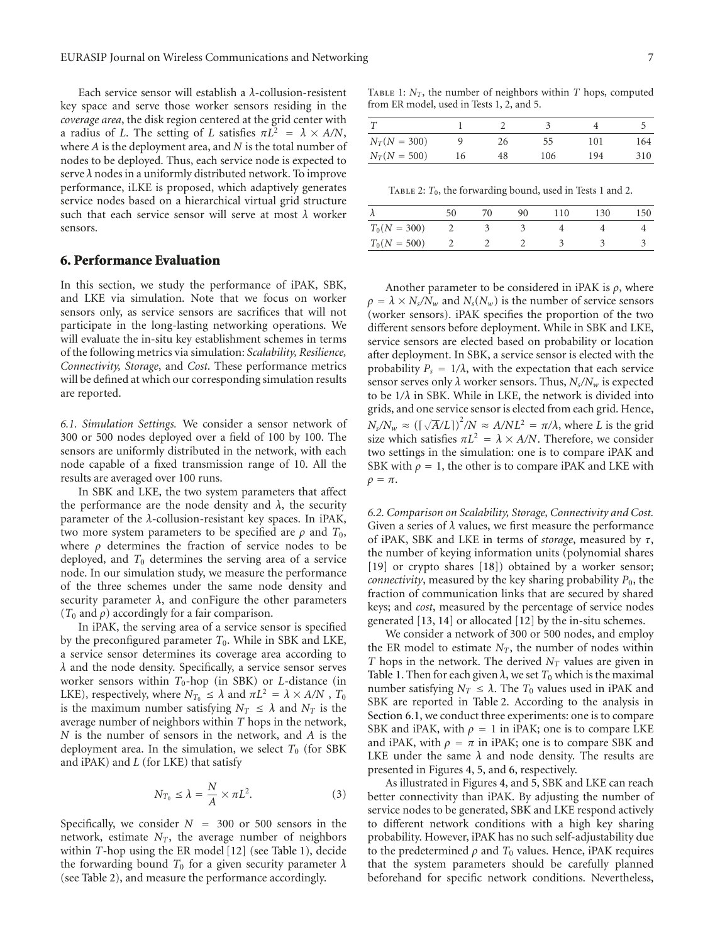Each service sensor will establish a *λ*-collusion-resistent key space and serve those worker sensors residing in the *coverage area*, the disk region centered at the grid center with a radius of *L*. The setting of *L* satisfies  $\pi L^2 = \lambda \times A/N$ , where *A* is the deployment area, and *N* is the total number of nodes to be deployed. Thus, each service node is expected to serve *λ* nodes in a uniformly distributed network. To improve performance, iLKE is proposed, which adaptively generates service nodes based on a hierarchical virtual grid structure such that each service sensor will serve at most *λ* worker sensors.

#### **6. Performance Evaluation**

In this section, we study the performance of iPAK, SBK, and LKE via simulation. Note that we focus on worker sensors only, as service sensors are sacrifices that will not participate in the long-lasting networking operations. We will evaluate the in-situ key establishment schemes in terms of the following metrics via simulation: *Scalability, Resilience, Connectivity, Storage*, and *Cost*. These performance metrics will be defined at which our corresponding simulation results are reported.

*6.1. Simulation Settings.* We consider a sensor network of 300 or 500 nodes deployed over a field of 100 by 100. The sensors are uniformly distributed in the network, with each node capable of a fixed transmission range of 10. All the results are averaged over 100 runs.

In SBK and LKE, the two system parameters that affect the performance are the node density and  $\lambda$ , the security parameter of the *λ*-collusion-resistant key spaces. In iPAK, two more system parameters to be specified are  $\rho$  and  $T_0$ , where  $\rho$  determines the fraction of service nodes to be deployed, and  $T_0$  determines the serving area of a service node. In our simulation study, we measure the performance of the three schemes under the same node density and security parameter  $\lambda$ , and conFigure the other parameters  $(T_0$  and  $\rho$ ) accordingly for a fair comparison.

In iPAK, the serving area of a service sensor is specified by the preconfigured parameter  $T_0$ . While in SBK and LKE, a service sensor determines its coverage area according to *λ* and the node density. Specifically, a service sensor serves worker sensors within  $T_0$ -hop (in SBK) or *L*-distance (in LKE), respectively, where  $N_{T_0} \leq \lambda$  and  $\pi L^2 = \lambda \times A/N$ ,  $T_0$ is the maximum number satisfying  $N_T \leq \lambda$  and  $N_T$  is the average number of neighbors within *T* hops in the network, *N* is the number of sensors in the network, and *A* is the deployment area. In the simulation, we select  $T_0$  (for SBK and iPAK) and *L* (for LKE) that satisfy

$$
N_{T_0} \le \lambda = \frac{N}{A} \times \pi L^2.
$$
 (3)

Specifically, we consider  $N = 300$  or 500 sensors in the network, estimate *NT*, the average number of neighbors within *T*-hop using the ER model [12] (see Table 1), decide the forwarding bound  $T_0$  for a given security parameter  $\lambda$ (see Table 2), and measure the performance accordingly.

| T              |    |    |     |     |     |
|----------------|----|----|-----|-----|-----|
| $N_T(N = 300)$ |    | 26 | 55  | 101 | 164 |
| $N_T(N = 500)$ | 16 | 48 | 106 | 194 | 310 |
|                |    |    |     |     |     |

TABLE 2:  $T_0$ , the forwarding bound, used in Tests 1 and 2.

|                |  | 10 | 130 | -50 |
|----------------|--|----|-----|-----|
| $T_0(N = 300)$ |  |    |     |     |
| $T_0(N = 500)$ |  |    |     |     |

Another parameter to be considered in iPAK is *ρ*, where  $\rho = \lambda \times N_s/N_w$  and  $N_s(N_w)$  is the number of service sensors (worker sensors). iPAK specifies the proportion of the two different sensors before deployment. While in SBK and LKE, service sensors are elected based on probability or location after deployment. In SBK, a service sensor is elected with the probability  $P_s = 1/\lambda$ , with the expectation that each service sensor serves only  $\lambda$  worker sensors. Thus,  $N_s/N_w$  is expected to be  $1/\lambda$  in SBK. While in LKE, the network is divided into grids, and one service sensor is elected from each grid. Hence,  $N_s/N_w \approx \left(\left[\sqrt{A}/L\right]\right)^2/N \approx A/NL^2 = \pi/\lambda$ , where *L* is the grid size which satisfies  $\pi L^2 = \lambda \times A/N$ . Therefore, we consider two settings in the simulation: one is to compare iPAK and SBK with  $\rho = 1$ , the other is to compare iPAK and LKE with *ρ* = *π*.

*6.2. Comparison on Scalability, Storage, Connectivity and Cost.* Given a series of  $\lambda$  values, we first measure the performance of iPAK, SBK and LKE in terms of *storage*, measured by *τ*, the number of keying information units (polynomial shares [19] or crypto shares [18]) obtained by a worker sensor; *connectivity*, measured by the key sharing probability  $P_0$ , the fraction of communication links that are secured by shared keys; and *cost*, measured by the percentage of service nodes generated [13, 14] or allocated [12] by the in-situ schemes.

We consider a network of 300 or 500 nodes, and employ the ER model to estimate  $N_T$ , the number of nodes within *T* hops in the network. The derived *N<sub>T</sub>* values are given in Table 1. Then for each given  $\lambda$ , we set  $T_0$  which is the maximal number satisfying  $N_T \leq \lambda$ . The  $T_0$  values used in iPAK and SBK are reported in Table 2. According to the analysis in Section 6.1, we conduct three experiments: one is to compare SBK and iPAK, with  $\rho = 1$  in iPAK; one is to compare LKE and iPAK, with  $\rho = \pi$  in iPAK; one is to compare SBK and LKE under the same  $\lambda$  and node density. The results are presented in Figures 4, 5, and 6, respectively.

As illustrated in Figures 4, and 5, SBK and LKE can reach better connectivity than iPAK. By adjusting the number of service nodes to be generated, SBK and LKE respond actively to different network conditions with a high key sharing probability. However, iPAK has no such self-adjustability due to the predetermined  $\rho$  and  $T_0$  values. Hence, iPAK requires that the system parameters should be carefully planned beforehand for specific network conditions. Nevertheless,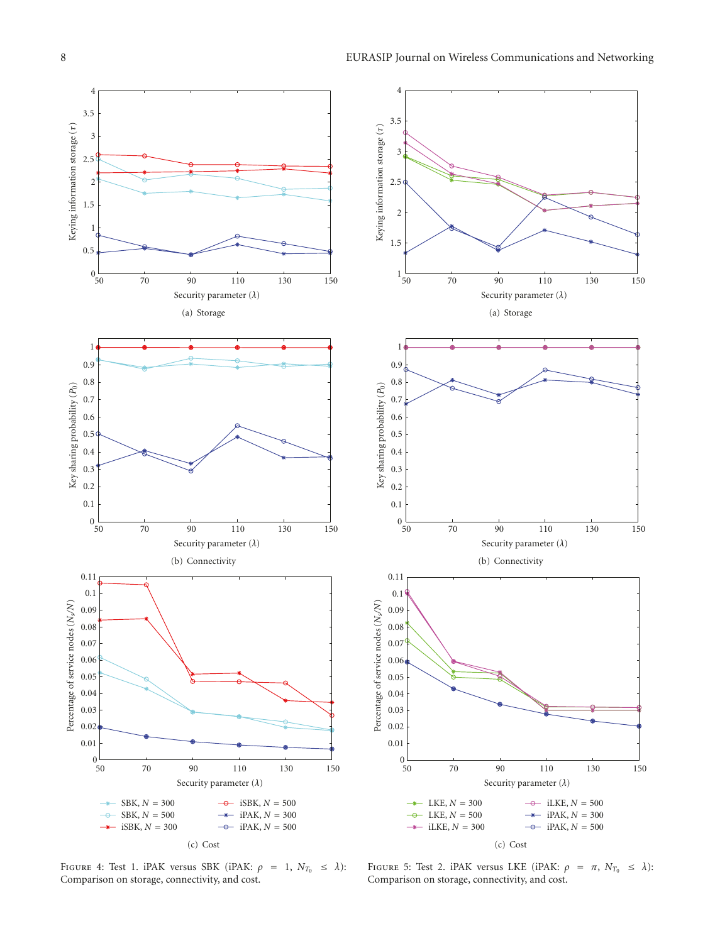

FIGURE 4: Test 1. iPAK versus SBK (iPAK:  $\rho = 1$ ,  $N_{T_0} \leq \lambda$ ): Comparison on storage, connectivity, and cost.

FIGURE 5: Test 2. iPAK versus LKE (iPAK:  $\rho = \pi$ ,  $N_{T_0} \leq \lambda$ ): Comparison on storage, connectivity, and cost.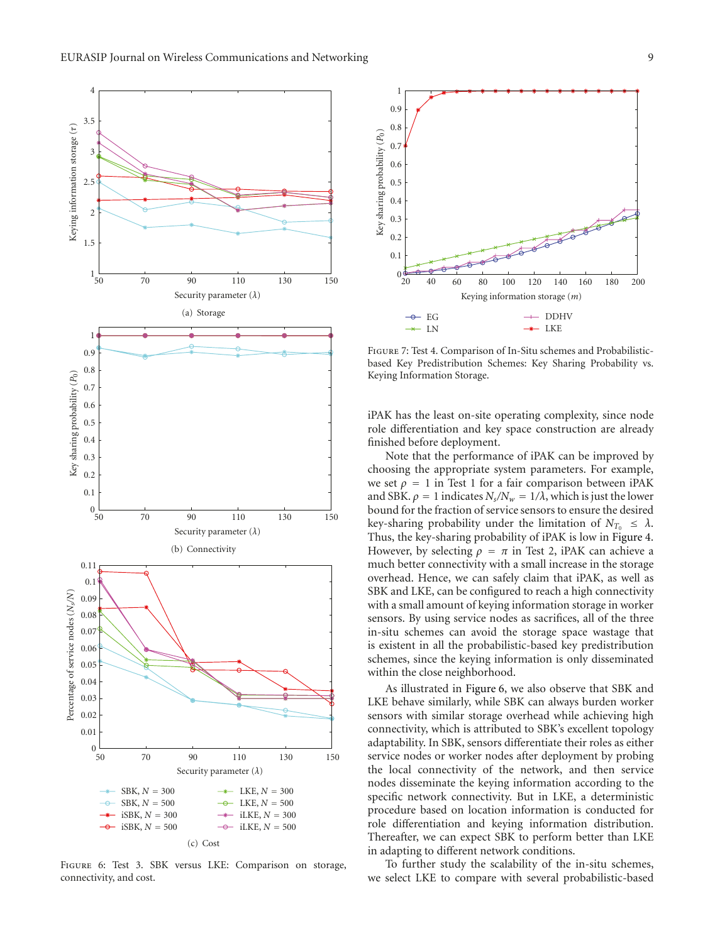

Figure 6: Test 3. SBK versus LKE: Comparison on storage, connectivity, and cost.



Figure 7: Test 4. Comparison of In-Situ schemes and Probabilisticbased Key Predistribution Schemes: Key Sharing Probability vs. Keying Information Storage.

iPAK has the least on-site operating complexity, since node role differentiation and key space construction are already finished before deployment.

Note that the performance of iPAK can be improved by choosing the appropriate system parameters. For example, we set  $\rho = 1$  in Test 1 for a fair comparison between iPAK and SBK.  $\rho = 1$  indicates  $N_s/N_w = 1/\lambda$ , which is just the lower bound for the fraction of service sensors to ensure the desired key-sharing probability under the limitation of  $N_{T_0} \leq \lambda$ . Thus, the key-sharing probability of iPAK is low in Figure 4. However, by selecting  $\rho = \pi$  in Test 2, iPAK can achieve a much better connectivity with a small increase in the storage overhead. Hence, we can safely claim that iPAK, as well as SBK and LKE, can be configured to reach a high connectivity with a small amount of keying information storage in worker sensors. By using service nodes as sacrifices, all of the three in-situ schemes can avoid the storage space wastage that is existent in all the probabilistic-based key predistribution schemes, since the keying information is only disseminated within the close neighborhood.

As illustrated in Figure 6, we also observe that SBK and LKE behave similarly, while SBK can always burden worker sensors with similar storage overhead while achieving high connectivity, which is attributed to SBK's excellent topology adaptability. In SBK, sensors differentiate their roles as either service nodes or worker nodes after deployment by probing the local connectivity of the network, and then service nodes disseminate the keying information according to the specific network connectivity. But in LKE, a deterministic procedure based on location information is conducted for role differentiation and keying information distribution. Thereafter, we can expect SBK to perform better than LKE in adapting to different network conditions.

To further study the scalability of the in-situ schemes, we select LKE to compare with several probabilistic-based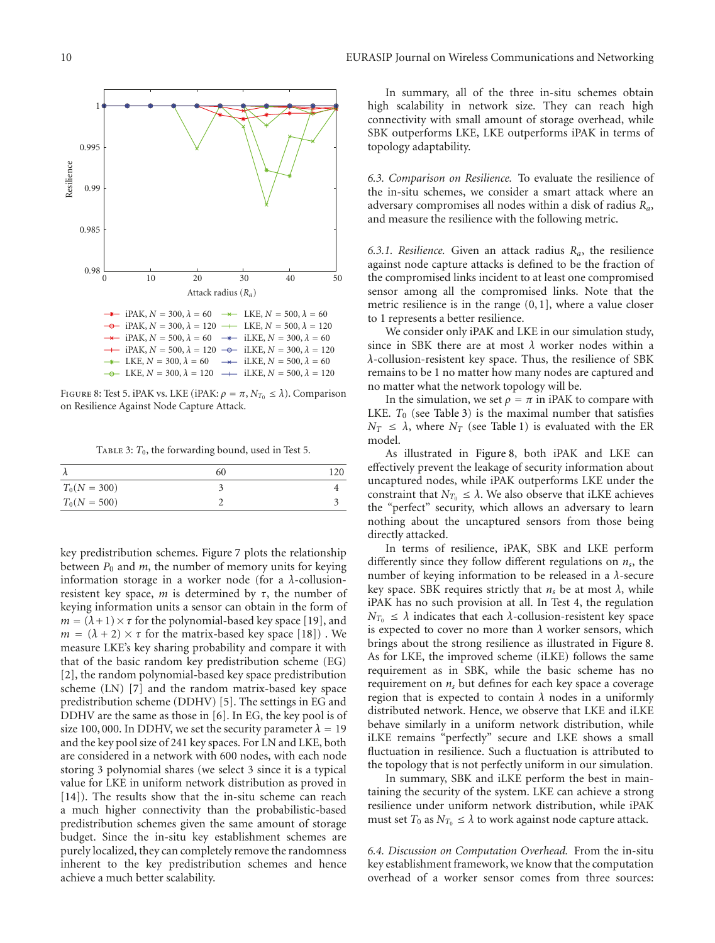

FIGURE 8: Test 5. iPAK vs. LKE (iPAK:  $\rho = \pi$ ,  $N_{T_0} \leq \lambda$ ). Comparison on Resilience Against Node Capture Attack.

TABLE 3:  $T_0$ , the forwarding bound, used in Test 5.

|                | 60 | 120 |
|----------------|----|-----|
| $T_0(N = 300)$ |    |     |
| $T_0(N = 500)$ |    |     |

key predistribution schemes. Figure 7 plots the relationship between  $P_0$  and  $m$ , the number of memory units for keying information storage in a worker node (for a *λ*-collusionresistent key space, *m* is determined by *τ*, the number of keying information units a sensor can obtain in the form of  $m = (\lambda + 1) \times \tau$  for the polynomial-based key space [19], and  $m = (\lambda + 2) \times \tau$  for the matrix-based key space [18]). We measure LKE's key sharing probability and compare it with that of the basic random key predistribution scheme (EG) [2], the random polynomial-based key space predistribution scheme (LN) [7] and the random matrix-based key space predistribution scheme (DDHV) [5]. The settings in EG and DDHV are the same as those in [6]. In EG, the key pool is of size 100, 000. In DDHV, we set the security parameter  $\lambda = 19$ and the key pool size of 241 key spaces. For LN and LKE, both are considered in a network with 600 nodes, with each node storing 3 polynomial shares (we select 3 since it is a typical value for LKE in uniform network distribution as proved in [14]). The results show that the in-situ scheme can reach a much higher connectivity than the probabilistic-based predistribution schemes given the same amount of storage budget. Since the in-situ key establishment schemes are purely localized, they can completely remove the randomness inherent to the key predistribution schemes and hence achieve a much better scalability.

In summary, all of the three in-situ schemes obtain high scalability in network size. They can reach high connectivity with small amount of storage overhead, while SBK outperforms LKE, LKE outperforms iPAK in terms of topology adaptability.

*6.3. Comparison on Resilience.* To evaluate the resilience of the in-situ schemes, we consider a smart attack where an adversary compromises all nodes within a disk of radius *Ra*, and measure the resilience with the following metric.

*6.3.1. Resilience.* Given an attack radius *Ra*, the resilience against node capture attacks is defined to be the fraction of the compromised links incident to at least one compromised sensor among all the compromised links. Note that the metric resilience is in the range (0, 1], where a value closer to 1 represents a better resilience.

We consider only iPAK and LKE in our simulation study, since in SBK there are at most *λ* worker nodes within a *λ*-collusion-resistent key space. Thus, the resilience of SBK remains to be 1 no matter how many nodes are captured and no matter what the network topology will be.

In the simulation, we set  $\rho = \pi$  in iPAK to compare with LKE.  $T_0$  (see Table 3) is the maximal number that satisfies  $N_T \leq \lambda$ , where  $N_T$  (see Table 1) is evaluated with the ER model.

As illustrated in Figure 8, both iPAK and LKE can effectively prevent the leakage of security information about uncaptured nodes, while iPAK outperforms LKE under the constraint that  $N_{T_0} \leq \lambda$ . We also observe that iLKE achieves the "perfect" security, which allows an adversary to learn nothing about the uncaptured sensors from those being directly attacked.

In terms of resilience, iPAK, SBK and LKE perform differently since they follow different regulations on  $n<sub>s</sub>$ , the number of keying information to be released in a *λ*-secure key space. SBK requires strictly that  $n_s$  be at most  $\lambda$ , while iPAK has no such provision at all. In Test 4, the regulation  $N_{T_0} \leq \lambda$  indicates that each  $\lambda$ -collusion-resistent key space is expected to cover no more than *λ* worker sensors, which brings about the strong resilience as illustrated in Figure 8. As for LKE, the improved scheme (iLKE) follows the same requirement as in SBK, while the basic scheme has no requirement on *ns* but defines for each key space a coverage region that is expected to contain *λ* nodes in a uniformly distributed network. Hence, we observe that LKE and iLKE behave similarly in a uniform network distribution, while iLKE remains "perfectly" secure and LKE shows a small fluctuation in resilience. Such a fluctuation is attributed to the topology that is not perfectly uniform in our simulation.

In summary, SBK and iLKE perform the best in maintaining the security of the system. LKE can achieve a strong resilience under uniform network distribution, while iPAK must set  $T_0$  as  $N_{T_0} \leq \lambda$  to work against node capture attack.

*6.4. Discussion on Computation Overhead.* From the in-situ key establishment framework, we know that the computation overhead of a worker sensor comes from three sources: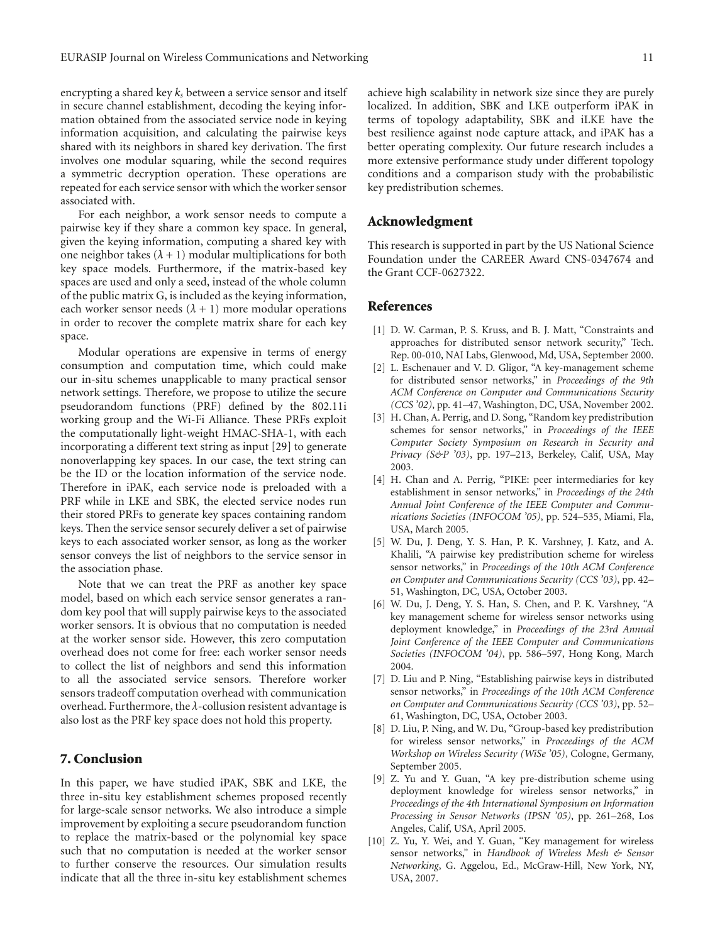encrypting a shared key *ks* between a service sensor and itself in secure channel establishment, decoding the keying information obtained from the associated service node in keying information acquisition, and calculating the pairwise keys shared with its neighbors in shared key derivation. The first involves one modular squaring, while the second requires a symmetric decryption operation. These operations are repeated for each service sensor with which the worker sensor associated with.

For each neighbor, a work sensor needs to compute a pairwise key if they share a common key space. In general, given the keying information, computing a shared key with one neighbor takes  $(\lambda + 1)$  modular multiplications for both key space models. Furthermore, if the matrix-based key spaces are used and only a seed, instead of the whole column of the public matrix G, is included as the keying information, each worker sensor needs  $(\lambda + 1)$  more modular operations in order to recover the complete matrix share for each key space.

Modular operations are expensive in terms of energy consumption and computation time, which could make our in-situ schemes unapplicable to many practical sensor network settings. Therefore, we propose to utilize the secure pseudorandom functions (PRF) defined by the 802.11i working group and the Wi-Fi Alliance. These PRFs exploit the computationally light-weight HMAC-SHA-1, with each incorporating a different text string as input [29] to generate nonoverlapping key spaces. In our case, the text string can be the ID or the location information of the service node. Therefore in iPAK, each service node is preloaded with a PRF while in LKE and SBK, the elected service nodes run their stored PRFs to generate key spaces containing random keys. Then the service sensor securely deliver a set of pairwise keys to each associated worker sensor, as long as the worker sensor conveys the list of neighbors to the service sensor in the association phase.

Note that we can treat the PRF as another key space model, based on which each service sensor generates a random key pool that will supply pairwise keys to the associated worker sensors. It is obvious that no computation is needed at the worker sensor side. However, this zero computation overhead does not come for free: each worker sensor needs to collect the list of neighbors and send this information to all the associated service sensors. Therefore worker sensors tradeoff computation overhead with communication overhead. Furthermore, the *λ*-collusion resistent advantage is also lost as the PRF key space does not hold this property.

## **7. Conclusion**

In this paper, we have studied iPAK, SBK and LKE, the three in-situ key establishment schemes proposed recently for large-scale sensor networks. We also introduce a simple improvement by exploiting a secure pseudorandom function to replace the matrix-based or the polynomial key space such that no computation is needed at the worker sensor to further conserve the resources. Our simulation results indicate that all the three in-situ key establishment schemes achieve high scalability in network size since they are purely localized. In addition, SBK and LKE outperform iPAK in terms of topology adaptability, SBK and iLKE have the best resilience against node capture attack, and iPAK has a better operating complexity. Our future research includes a more extensive performance study under different topology conditions and a comparison study with the probabilistic key predistribution schemes.

#### **Acknowledgment**

This research is supported in part by the US National Science Foundation under the CAREER Award CNS-0347674 and the Grant CCF-0627322.

### **References**

- [1] D. W. Carman, P. S. Kruss, and B. J. Matt, "Constraints and approaches for distributed sensor network security," Tech. Rep. 00-010, NAI Labs, Glenwood, Md, USA, September 2000.
- [2] L. Eschenauer and V. D. Gligor, "A key-management scheme for distributed sensor networks," in *Proceedings of the 9th ACM Conference on Computer and Communications Security (CCS '02)*, pp. 41–47, Washington, DC, USA, November 2002.
- [3] H. Chan, A. Perrig, and D. Song, "Random key predistribution schemes for sensor networks," in *Proceedings of the IEEE Computer Society Symposium on Research in Security and Privacy (S&P '03)*, pp. 197–213, Berkeley, Calif, USA, May 2003.
- [4] H. Chan and A. Perrig, "PIKE: peer intermediaries for key establishment in sensor networks," in *Proceedings of the 24th Annual Joint Conference of the IEEE Computer and Communications Societies (INFOCOM '05)*, pp. 524–535, Miami, Fla, USA, March 2005.
- [5] W. Du, J. Deng, Y. S. Han, P. K. Varshney, J. Katz, and A. Khalili, "A pairwise key predistribution scheme for wireless sensor networks," in *Proceedings of the 10th ACM Conference on Computer and Communications Security (CCS '03)*, pp. 42– 51, Washington, DC, USA, October 2003.
- [6] W. Du, J. Deng, Y. S. Han, S. Chen, and P. K. Varshney, "A key management scheme for wireless sensor networks using deployment knowledge," in *Proceedings of the 23rd Annual Joint Conference of the IEEE Computer and Communications Societies (INFOCOM '04)*, pp. 586–597, Hong Kong, March 2004.
- [7] D. Liu and P. Ning, "Establishing pairwise keys in distributed sensor networks," in *Proceedings of the 10th ACM Conference on Computer and Communications Security (CCS '03)*, pp. 52– 61, Washington, DC, USA, October 2003.
- [8] D. Liu, P. Ning, and W. Du, "Group-based key predistribution for wireless sensor networks," in *Proceedings of the ACM Workshop on Wireless Security (WiSe '05)*, Cologne, Germany, September 2005.
- [9] Z. Yu and Y. Guan, "A key pre-distribution scheme using deployment knowledge for wireless sensor networks," in *Proceedings of the 4th International Symposium on Information Processing in Sensor Networks (IPSN '05)*, pp. 261–268, Los Angeles, Calif, USA, April 2005.
- [10] Z. Yu, Y. Wei, and Y. Guan, "Key management for wireless sensor networks," in *Handbook of Wireless Mesh & Sensor Networking*, G. Aggelou, Ed., McGraw-Hill, New York, NY, USA, 2007.